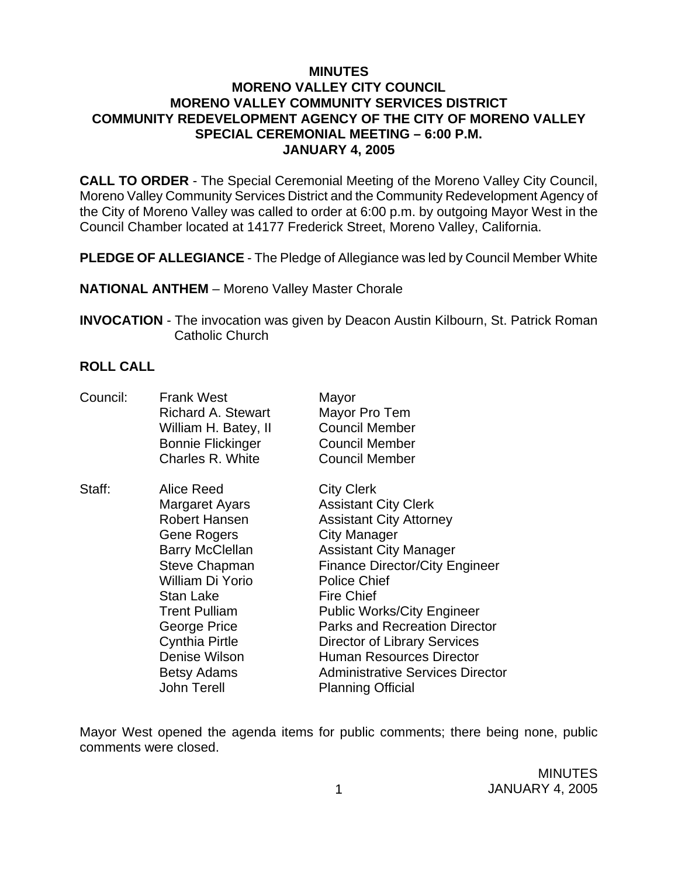## **MINUTES MORENO VALLEY CITY COUNCIL MORENO VALLEY COMMUNITY SERVICES DISTRICT COMMUNITY REDEVELOPMENT AGENCY OF THE CITY OF MORENO VALLEY SPECIAL CEREMONIAL MEETING – 6:00 P.M. JANUARY 4, 2005**

**CALL TO ORDER** - The Special Ceremonial Meeting of the Moreno Valley City Council, Moreno Valley Community Services District and the Community Redevelopment Agency of the City of Moreno Valley was called to order at 6:00 p.m. by outgoing Mayor West in the Council Chamber located at 14177 Frederick Street, Moreno Valley, California.

**PLEDGE OF ALLEGIANCE** - The Pledge of Allegiance was led by Council Member White

**NATIONAL ANTHEM** – Moreno Valley Master Chorale

**INVOCATION** - The invocation was given by Deacon Austin Kilbourn, St. Patrick Roman Catholic Church

## **ROLL CALL**

| Council: | <b>Frank West</b><br>Richard A. Stewart<br>William H. Batey, II<br><b>Bonnie Flickinger</b><br>Charles R. White                                                                                                                                                                      | Mayor<br>Mayor Pro Tem<br><b>Council Member</b><br><b>Council Member</b><br><b>Council Member</b>                                                                                                                                                                                                                                                                                                                                                      |
|----------|--------------------------------------------------------------------------------------------------------------------------------------------------------------------------------------------------------------------------------------------------------------------------------------|--------------------------------------------------------------------------------------------------------------------------------------------------------------------------------------------------------------------------------------------------------------------------------------------------------------------------------------------------------------------------------------------------------------------------------------------------------|
| Staff:   | Alice Reed<br>Margaret Ayars<br><b>Robert Hansen</b><br>Gene Rogers<br><b>Barry McClellan</b><br><b>Steve Chapman</b><br>William Di Yorio<br>Stan Lake<br><b>Trent Pulliam</b><br>George Price<br><b>Cynthia Pirtle</b><br>Denise Wilson<br><b>Betsy Adams</b><br><b>John Terell</b> | <b>City Clerk</b><br><b>Assistant City Clerk</b><br><b>Assistant City Attorney</b><br>City Manager<br><b>Assistant City Manager</b><br><b>Finance Director/City Engineer</b><br><b>Police Chief</b><br><b>Fire Chief</b><br><b>Public Works/City Engineer</b><br><b>Parks and Recreation Director</b><br><b>Director of Library Services</b><br><b>Human Resources Director</b><br><b>Administrative Services Director</b><br><b>Planning Official</b> |

Mayor West opened the agenda items for public comments; there being none, public comments were closed.